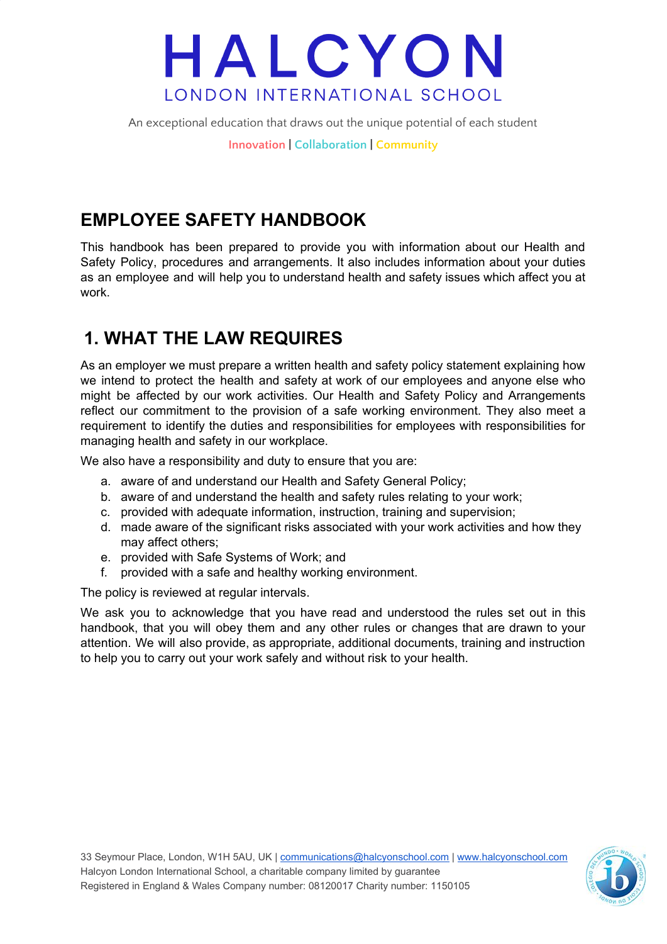An exceptional education that draws out the unique potential of each student

**Innovation | Collaboration | Community**

## **EMPLOYEE SAFETY HANDBOOK**

This handbook has been prepared to provide you with information about our Health and Safety Policy, procedures and arrangements. It also includes information about your duties as an employee and will help you to understand health and safety issues which affect you at work.

### **1. WHAT THE LAW REQUIRES**

As an employer we must prepare a written health and safety policy statement explaining how we intend to protect the health and safety at work of our employees and anyone else who might be affected by our work activities. Our Health and Safety Policy and Arrangements reflect our commitment to the provision of a safe working environment. They also meet a requirement to identify the duties and responsibilities for employees with responsibilities for managing health and safety in our workplace.

We also have a responsibility and duty to ensure that you are:

- a. aware of and understand our Health and Safety General Policy;
- b. aware of and understand the health and safety rules relating to your work;
- c. provided with adequate information, instruction, training and supervision;
- d. made aware of the significant risks associated with your work activities and how they may affect others;
- e. provided with Safe Systems of Work; and
- f. provided with a safe and healthy working environment.

The policy is reviewed at regular intervals.

We ask you to acknowledge that you have read and understood the rules set out in this handbook, that you will obey them and any other rules or changes that are drawn to your attention. We will also provide, as appropriate, additional documents, training and instruction to help you to carry out your work safely and without risk to your health.

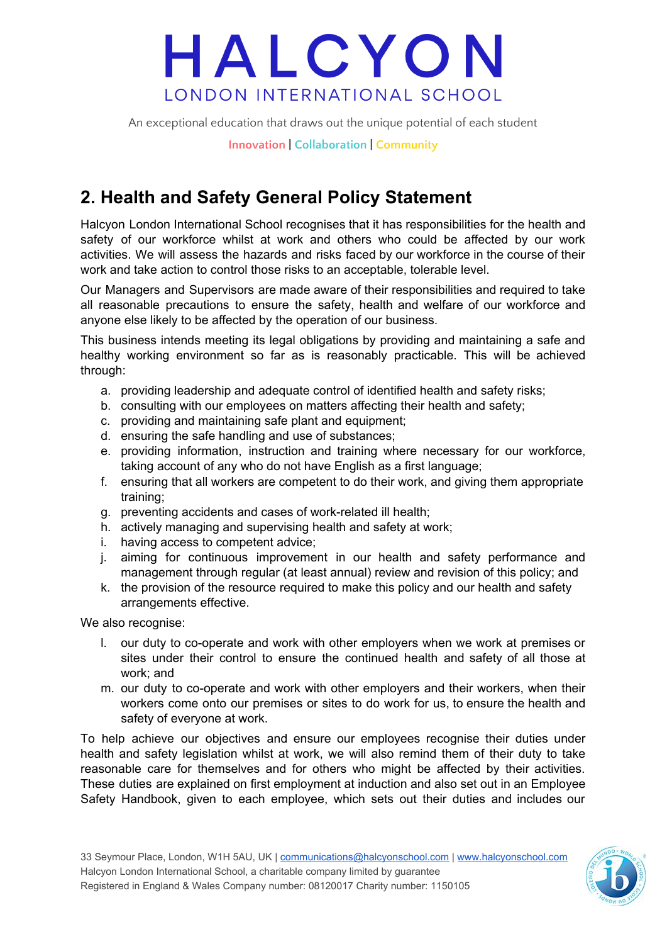An exceptional education that draws out the unique potential of each student

**Innovation | Collaboration | Community**

## **2. Health and Safety General Policy Statement**

Halcyon London International School recognises that it has responsibilities for the health and safety of our workforce whilst at work and others who could be affected by our work activities. We will assess the hazards and risks faced by our workforce in the course of their work and take action to control those risks to an acceptable, tolerable level.

Our Managers and Supervisors are made aware of their responsibilities and required to take all reasonable precautions to ensure the safety, health and welfare of our workforce and anyone else likely to be affected by the operation of our business.

This business intends meeting its legal obligations by providing and maintaining a safe and healthy working environment so far as is reasonably practicable. This will be achieved through:

- a. providing leadership and adequate control of identified health and safety risks;
- b. consulting with our employees on matters affecting their health and safety;
- c. providing and maintaining safe plant and equipment;
- d. ensuring the safe handling and use of substances;
- e. providing information, instruction and training where necessary for our workforce, taking account of any who do not have English as a first language;
- f. ensuring that all workers are competent to do their work, and giving them appropriate training;
- g. preventing accidents and cases of work-related ill health;
- h. actively managing and supervising health and safety at work;
- i. having access to competent advice;
- j. aiming for continuous improvement in our health and safety performance and management through regular (at least annual) review and revision of this policy; and
- k. the provision of the resource required to make this policy and our health and safety arrangements effective.

We also recognise:

- l. our duty to co-operate and work with other employers when we work at premises or sites under their control to ensure the continued health and safety of all those at work; and
- m. our duty to co-operate and work with other employers and their workers, when their workers come onto our premises or sites to do work for us, to ensure the health and safety of everyone at work.

To help achieve our objectives and ensure our employees recognise their duties under health and safety legislation whilst at work, we will also remind them of their duty to take reasonable care for themselves and for others who might be affected by their activities. These duties are explained on first employment at induction and also set out in an Employee Safety Handbook, given to each employee, which sets out their duties and includes our

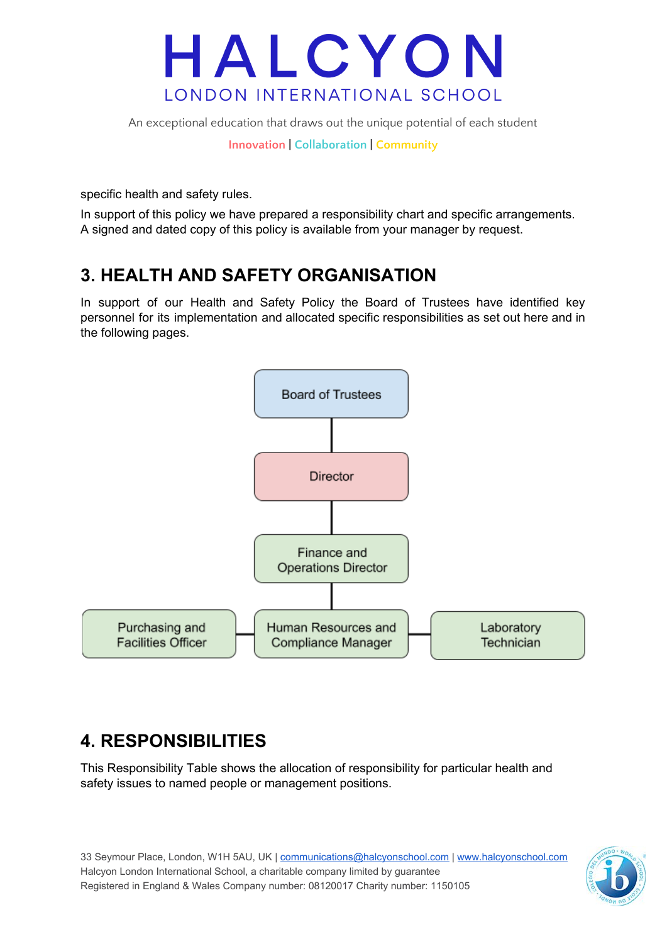

An exceptional education that draws out the unique potential of each student

**Innovation | Collaboration | Community**

specific health and safety rules.

In support of this policy we have prepared a responsibility chart and specific arrangements. A signed and dated copy of this policy is available from your manager by request.

### **3. HEALTH AND SAFETY ORGANISATION**

In support of our Health and Safety Policy the Board of Trustees have identified key personnel for its implementation and allocated specific responsibilities as set out here and in the following pages.



### **4. RESPONSIBILITIES**

This Responsibility Table shows the allocation of responsibility for particular health and safety issues to named people or management positions.

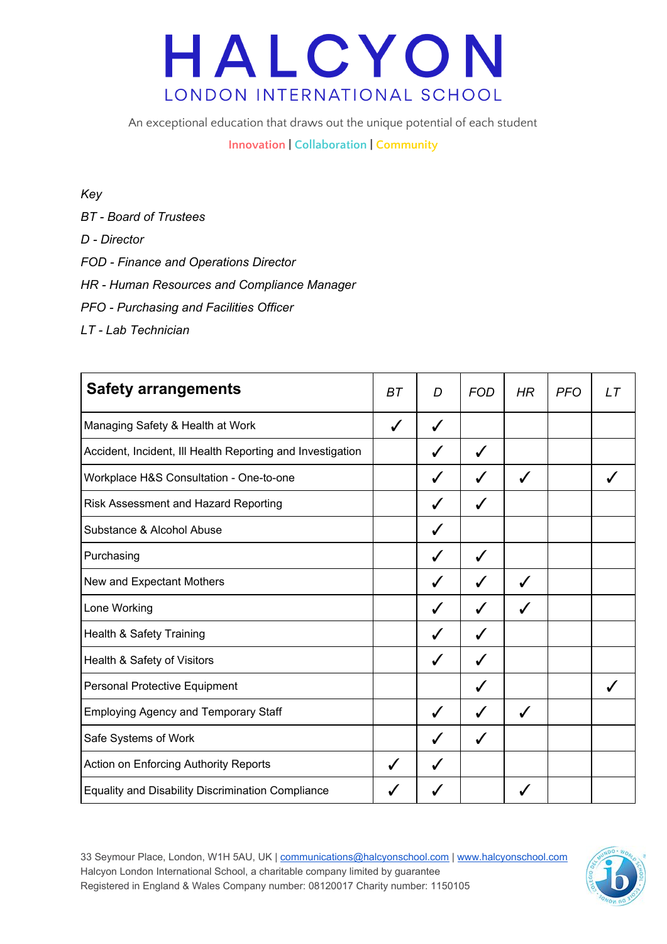An exceptional education that draws out the unique potential of each student

**Innovation | Collaboration | Community**

#### *Key*

- *BT - Board of Trustees*
- *D - Director*
- *FOD - Finance and Operations Director*
- *HR - Human Resources and Compliance Manager*
- *PFO - Purchasing and Facilities Officer*
- *LT - Lab Technician*

| <b>Safety arrangements</b>                                 | <b>BT</b>    | D            | <b>FOD</b> | HR | <b>PFO</b> | LT |
|------------------------------------------------------------|--------------|--------------|------------|----|------------|----|
| Managing Safety & Health at Work                           | $\checkmark$ | $\checkmark$ |            |    |            |    |
| Accident, Incident, III Health Reporting and Investigation |              | ✓            | ✓          |    |            |    |
| Workplace H&S Consultation - One-to-one                    |              | ✓            | J          | ✓  |            |    |
| Risk Assessment and Hazard Reporting                       |              | ✔            |            |    |            |    |
| Substance & Alcohol Abuse                                  |              | ✓            |            |    |            |    |
| Purchasing                                                 |              | ✓            | J          |    |            |    |
| New and Expectant Mothers                                  |              | ✔            |            | ✔  |            |    |
| Lone Working                                               |              |              |            |    |            |    |
| Health & Safety Training                                   |              | ✔            |            |    |            |    |
| Health & Safety of Visitors                                |              | $\checkmark$ |            |    |            |    |
| <b>Personal Protective Equipment</b>                       |              |              |            |    |            |    |
| <b>Employing Agency and Temporary Staff</b>                |              | ✓            |            |    |            |    |
| Safe Systems of Work                                       |              | ✔            | ✓          |    |            |    |
| Action on Enforcing Authority Reports                      | ✓            | ✔            |            |    |            |    |
| <b>Equality and Disability Discrimination Compliance</b>   |              |              |            |    |            |    |

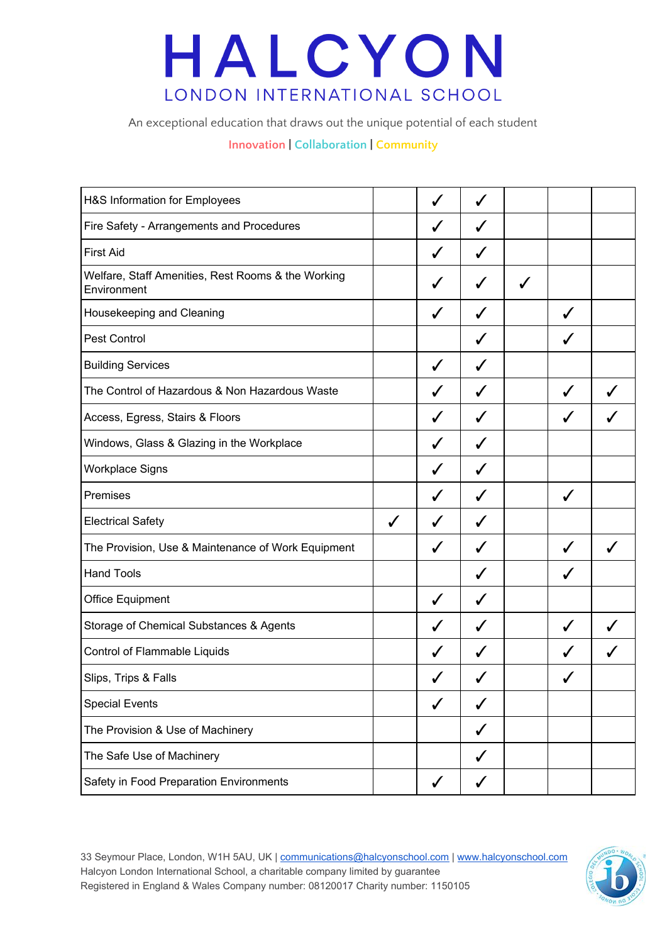An exceptional education that draws out the unique potential of each student

#### **Innovation | Collaboration | Community**

| H&S Information for Employees                                     |              |              | J            |              |   |  |
|-------------------------------------------------------------------|--------------|--------------|--------------|--------------|---|--|
| Fire Safety - Arrangements and Procedures                         |              | J            | ✔            |              |   |  |
| <b>First Aid</b>                                                  |              |              | ✔            |              |   |  |
| Welfare, Staff Amenities, Rest Rooms & the Working<br>Environment |              |              | ✓            | $\checkmark$ |   |  |
| Housekeeping and Cleaning                                         |              |              | J            |              | J |  |
| Pest Control                                                      |              |              |              |              | ✔ |  |
| <b>Building Services</b>                                          |              | ✓            | $\checkmark$ |              |   |  |
| The Control of Hazardous & Non Hazardous Waste                    |              |              | ✓            |              | ✓ |  |
| Access, Egress, Stairs & Floors                                   |              |              | ✔            |              |   |  |
| Windows, Glass & Glazing in the Workplace                         |              | J            | J            |              |   |  |
| Workplace Signs                                                   |              | $\checkmark$ | J            |              |   |  |
| Premises                                                          |              | J            | ✓            |              | ✓ |  |
| <b>Electrical Safety</b>                                          | $\checkmark$ | ✓            | ✓            |              |   |  |
| The Provision, Use & Maintenance of Work Equipment                |              | ✓            | ✓            |              | ✓ |  |
| <b>Hand Tools</b>                                                 |              |              | ✓            |              | ✓ |  |
| <b>Office Equipment</b>                                           |              | ✓            | ✓            |              |   |  |
| Storage of Chemical Substances & Agents                           |              |              | ✓            |              | J |  |
| Control of Flammable Liquids                                      |              |              |              |              |   |  |
| Slips, Trips & Falls                                              |              |              |              |              |   |  |
| <b>Special Events</b>                                             |              | ✓            | ✓            |              |   |  |
| The Provision & Use of Machinery                                  |              |              | ✓            |              |   |  |
| The Safe Use of Machinery                                         |              |              | ✓            |              |   |  |
| Safety in Food Preparation Environments                           |              |              |              |              |   |  |

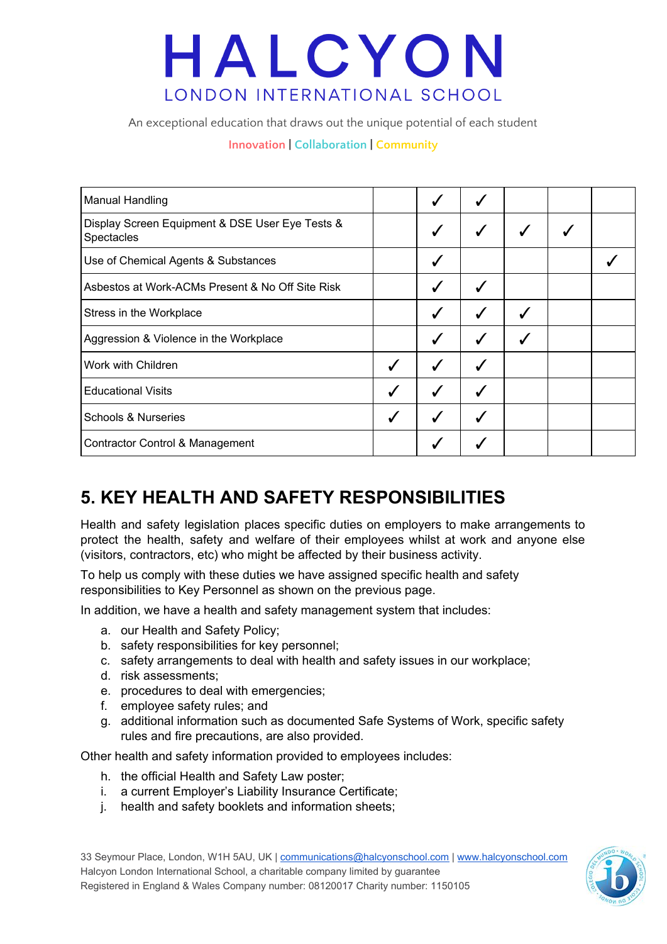An exceptional education that draws out the unique potential of each student

#### **Innovation | Collaboration | Community**

| <b>Manual Handling</b>                                        |              |              |   |  |
|---------------------------------------------------------------|--------------|--------------|---|--|
| Display Screen Equipment & DSE User Eye Tests &<br>Spectacles |              |              | ✔ |  |
| Use of Chemical Agents & Substances                           |              |              |   |  |
| Asbestos at Work-ACMs Present & No Off Site Risk              |              |              |   |  |
| Stress in the Workplace                                       |              | ✔            |   |  |
| Aggression & Violence in the Workplace                        |              | $\checkmark$ |   |  |
| Work with Children                                            | $\checkmark$ | ✓            |   |  |
| <b>Educational Visits</b>                                     |              | ✓            |   |  |
| <b>Schools &amp; Nurseries</b>                                |              |              |   |  |
| <b>Contractor Control &amp; Management</b>                    |              |              |   |  |

### **5. KEY HEALTH AND SAFETY RESPONSIBILITIES**

Health and safety legislation places specific duties on employers to make arrangements to protect the health, safety and welfare of their employees whilst at work and anyone else (visitors, contractors, etc) who might be affected by their business activity.

To help us comply with these duties we have assigned specific health and safety responsibilities to Key Personnel as shown on the previous page.

In addition, we have a health and safety management system that includes:

- a. our Health and Safety Policy;
- b. safety responsibilities for key personnel;
- c. safety arrangements to deal with health and safety issues in our workplace;
- d. risk assessments;
- e. procedures to deal with emergencies;
- f. employee safety rules; and
- g. additional information such as documented Safe Systems of Work, specific safety rules and fire precautions, are also provided.

Other health and safety information provided to employees includes:

- h. the official Health and Safety Law poster;
- i. a current Employer's Liability Insurance Certificate;
- j. health and safety booklets and information sheets;

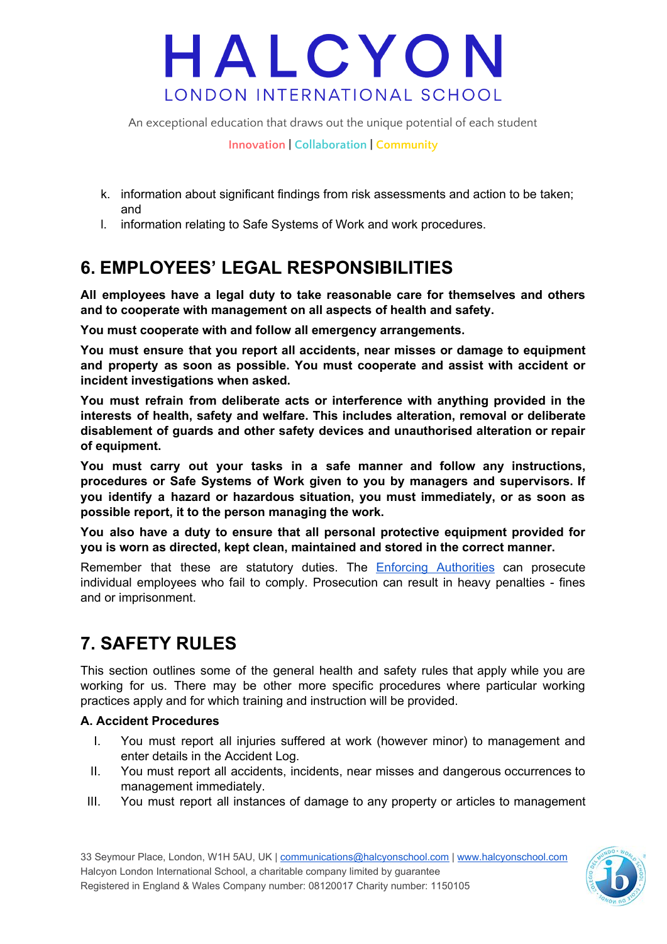An exceptional education that draws out the unique potential of each student

**Innovation | Collaboration | Community**

- k. information about significant findings from risk assessments and action to be taken; and
- l. information relating to Safe Systems of Work and work procedures.

### **6. EMPLOYEES' LEGAL RESPONSIBILITIES**

**All employees have a legal duty to take reasonable care for themselves and others and to cooperate with management on all aspects of health and safety.**

**You must cooperate with and follow all emergency arrangements.**

**You must ensure that you report all accidents, near misses or damage to equipment and property as soon as possible. You must cooperate and assist with accident or incident investigations when asked.**

**You must refrain from deliberate acts or interference with anything provided in the interests of health, safety and welfare. This includes alteration, removal or deliberate disablement of guards and other safety devices and unauthorised alteration or repair of equipment.**

**You must carry out your tasks in a safe manner and follow any instructions, procedures or Safe Systems of Work given to you by managers and supervisors. If you identify a hazard or hazardous situation, you must immediately, or as soon as possible report, it to the person managing the work.**

**You also have a duty to ensure that all personal protective equipment provided for you is worn as directed, kept clean, maintained and stored in the correct manner.**

Remember that these are statutory duties. The **Enforcing [Authorities](https://www.hse.gov.uk/contact/authority.htm)** can prosecute individual employees who fail to comply. Prosecution can result in heavy penalties - fines and or imprisonment.

## **7. SAFETY RULES**

This section outlines some of the general health and safety rules that apply while you are working for us. There may be other more specific procedures where particular working practices apply and for which training and instruction will be provided.

#### **A. Accident Procedures**

- I. You must report all injuries suffered at work (however minor) to management and enter details in the Accident Log.
- II. You must report all accidents, incidents, near misses and dangerous occurrences to management immediately.
- III. You must report all instances of damage to any property or articles to management

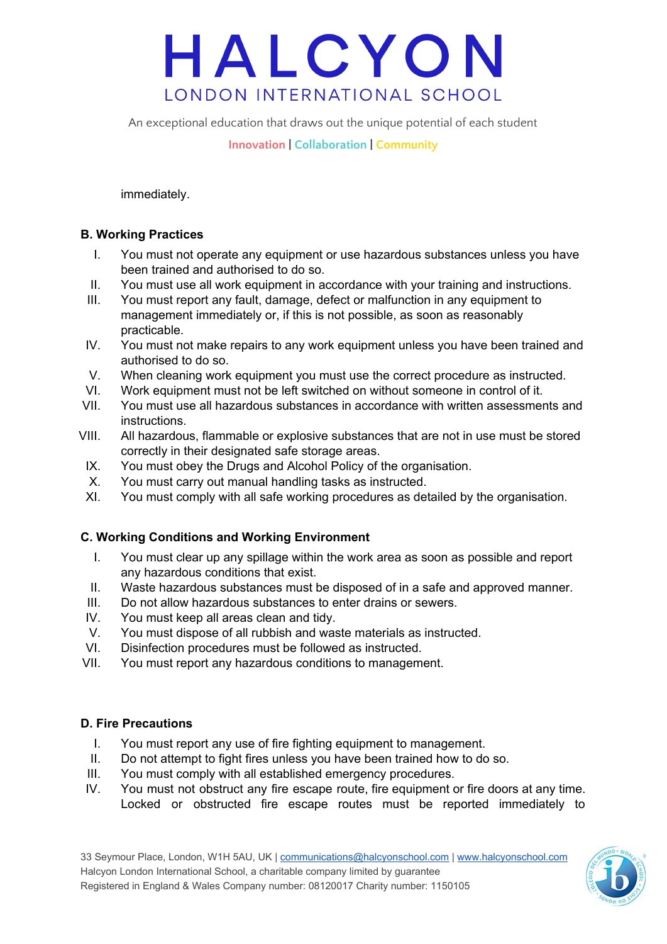An exceptional education that draws out the unique potential of each student

**Innovation | Collaboration | Community**

immediately.

#### **B. Working Practices**

- I. You must not operate any equipment or use hazardous substances unless you have been trained and authorised to do so.
- II. You must use all work equipment in accordance with your training and instructions.
- III. You must report any fault, damage, defect or malfunction in any equipment to management immediately or, if this is not possible, as soon as reasonably practicable.
- IV. You must not make repairs to any work equipment unless you have been trained and authorised to do so.
- V. When cleaning work equipment you must use the correct procedure as instructed.
- VI. Work equipment must not be left switched on without someone in control of it.
- VII. You must use all hazardous substances in accordance with written assessments and instructions.
- VIII. All hazardous, flammable or explosive substances that are not in use must be stored correctly in their designated safe storage areas.
- IX. You must obey the Drugs and Alcohol Policy of the organisation.
- X. You must carry out manual handling tasks as instructed.
- XI. You must comply with all safe working procedures as detailed by the organisation.

#### **C. Working Conditions and Working Environment**

- I. You must clear up any spillage within the work area as soon as possible and report any hazardous conditions that exist.
- II. Waste hazardous substances must be disposed of in a safe and approved manner.
- III. Do not allow hazardous substances to enter drains or sewers.
- IV. You must keep all areas clean and tidy.
- V. You must dispose of all rubbish and waste materials as instructed.
- VI. Disinfection procedures must be followed as instructed.
- VII. You must report any hazardous conditions to management.

#### **D. Fire Precautions**

- I. You must report any use of fire fighting equipment to management.
- II. Do not attempt to fight fires unless you have been trained how to do so.
- III. You must comply with all established emergency procedures.
- IV. You must not obstruct any fire escape route, fire equipment or fire doors at any time. Locked or obstructed fire escape routes must be reported immediately to

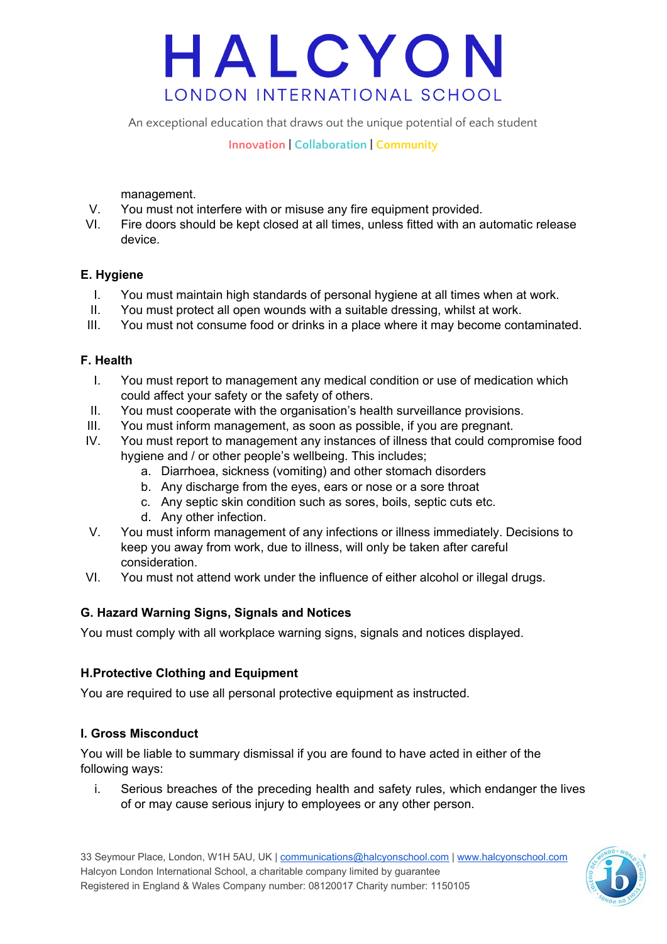An exceptional education that draws out the unique potential of each student

**Innovation | Collaboration | Community**

management.

- V. You must not interfere with or misuse any fire equipment provided.
- VI. Fire doors should be kept closed at all times, unless fitted with an automatic release device.

#### **E. Hygiene**

- I. You must maintain high standards of personal hygiene at all times when at work.
- II. You must protect all open wounds with a suitable dressing, whilst at work.
- III. You must not consume food or drinks in a place where it may become contaminated.

#### **F. Health**

- I. You must report to management any medical condition or use of medication which could affect your safety or the safety of others.
- II. You must cooperate with the organisation's health surveillance provisions.
- III. You must inform management, as soon as possible, if you are pregnant.
- IV. You must report to management any instances of illness that could compromise food hygiene and / or other people's wellbeing. This includes;
	- a. Diarrhoea, sickness (vomiting) and other stomach disorders
	- b. Any discharge from the eyes, ears or nose or a sore throat
	- c. Any septic skin condition such as sores, boils, septic cuts etc.
	- d. Any other infection.
- V. You must inform management of any infections or illness immediately. Decisions to keep you away from work, due to illness, will only be taken after careful consideration.
- VI. You must not attend work under the influence of either alcohol or illegal drugs.

#### **G. Hazard Warning Signs, Signals and Notices**

You must comply with all workplace warning signs, signals and notices displayed.

#### **H.Protective Clothing and Equipment**

You are required to use all personal protective equipment as instructed.

#### **I. Gross Misconduct**

You will be liable to summary dismissal if you are found to have acted in either of the following ways:

i. Serious breaches of the preceding health and safety rules, which endanger the lives of or may cause serious injury to employees or any other person.

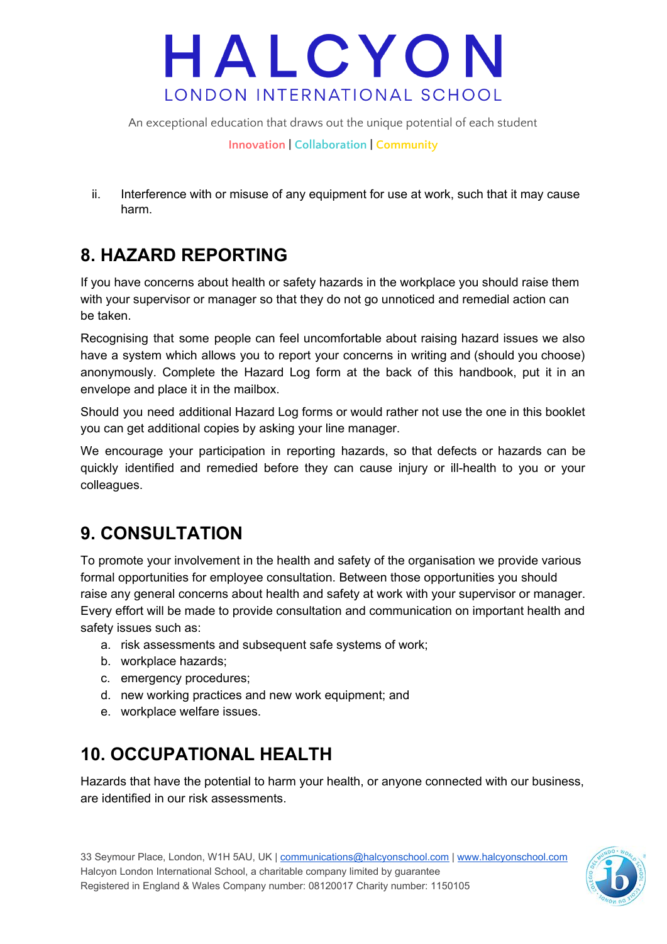An exceptional education that draws out the unique potential of each student

**Innovation | Collaboration | Community**

ii. Interference with or misuse of any equipment for use at work, such that it may cause harm.

## **8. HAZARD REPORTING**

If you have concerns about health or safety hazards in the workplace you should raise them with your supervisor or manager so that they do not go unnoticed and remedial action can be taken.

Recognising that some people can feel uncomfortable about raising hazard issues we also have a system which allows you to report your concerns in writing and (should you choose) anonymously. Complete the Hazard Log form at the back of this handbook, put it in an envelope and place it in the mailbox.

Should you need additional Hazard Log forms or would rather not use the one in this booklet you can get additional copies by asking your line manager.

We encourage your participation in reporting hazards, so that defects or hazards can be quickly identified and remedied before they can cause injury or ill-health to you or your colleagues.

### **9. CONSULTATION**

To promote your involvement in the health and safety of the organisation we provide various formal opportunities for employee consultation. Between those opportunities you should raise any general concerns about health and safety at work with your supervisor or manager. Every effort will be made to provide consultation and communication on important health and safety issues such as:

- a. risk assessments and subsequent safe systems of work;
- b. workplace hazards;
- c. emergency procedures;
- d. new working practices and new work equipment; and
- e. workplace welfare issues.

### **10. OCCUPATIONAL HEALTH**

Hazards that have the potential to harm your health, or anyone connected with our business, are identified in our risk assessments.

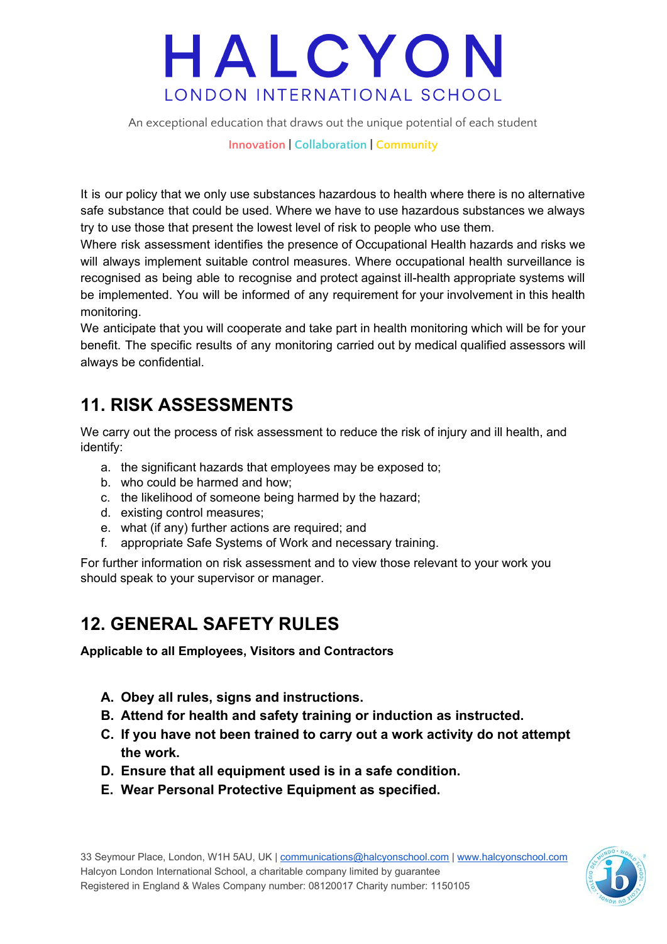An exceptional education that draws out the unique potential of each student

**Innovation | Collaboration | Community**

It is our policy that we only use substances hazardous to health where there is no alternative safe substance that could be used. Where we have to use hazardous substances we always try to use those that present the lowest level of risk to people who use them.

Where risk assessment identifies the presence of Occupational Health hazards and risks we will always implement suitable control measures. Where occupational health surveillance is recognised as being able to recognise and protect against ill-health appropriate systems will be implemented. You will be informed of any requirement for your involvement in this health monitoring.

We anticipate that you will cooperate and take part in health monitoring which will be for your benefit. The specific results of any monitoring carried out by medical qualified assessors will always be confidential.

### **11. RISK ASSESSMENTS**

We carry out the process of risk assessment to reduce the risk of injury and ill health, and identify:

- a. the significant hazards that employees may be exposed to;
- b. who could be harmed and how;
- c. the likelihood of someone being harmed by the hazard;
- d. existing control measures;
- e. what (if any) further actions are required; and
- f. appropriate Safe Systems of Work and necessary training.

For further information on risk assessment and to view those relevant to your work you should speak to your supervisor or manager.

### **12. GENERAL SAFETY RULES**

**Applicable to all Employees, Visitors and Contractors**

- **A. Obey all rules, signs and instructions.**
- **B. Attend for health and safety training or induction as instructed.**
- **C. If you have not been trained to carry out a work activity do not attempt the work.**
- **D. Ensure that all equipment used is in a safe condition.**
- **E. Wear Personal Protective Equipment as specified.**

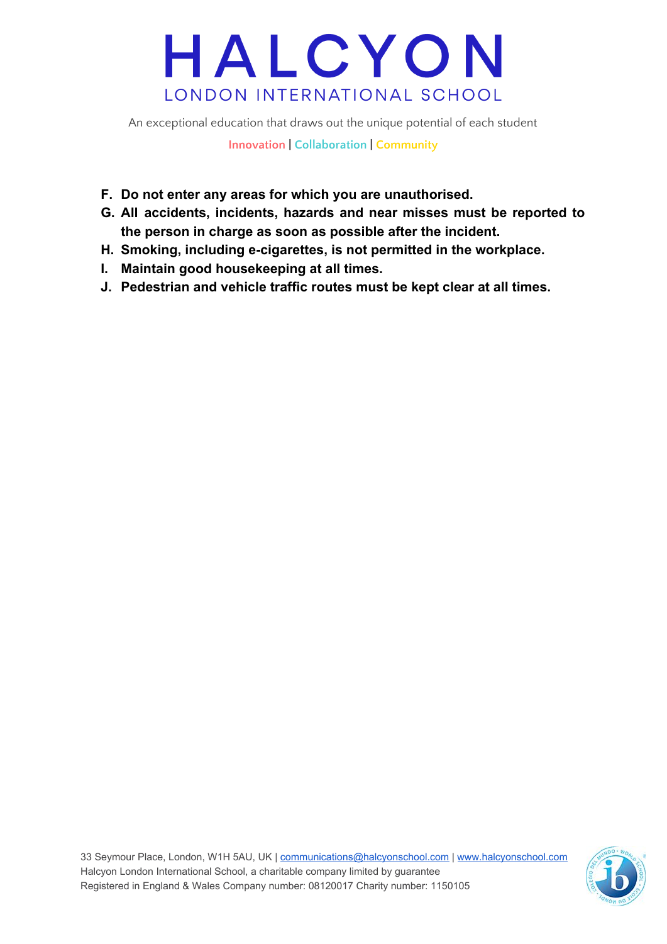An exceptional education that draws out the unique potential of each student

**Innovation | Collaboration | Community**

- **F. Do not enter any areas for which you are unauthorised.**
- **G. All accidents, incidents, hazards and near misses must be reported to the person in charge as soon as possible after the incident.**
- **H. Smoking, including e-cigarettes, is not permitted in the workplace.**
- **I. Maintain good housekeeping at all times.**
- **J. Pedestrian and vehicle traffic routes must be kept clear at all times.**

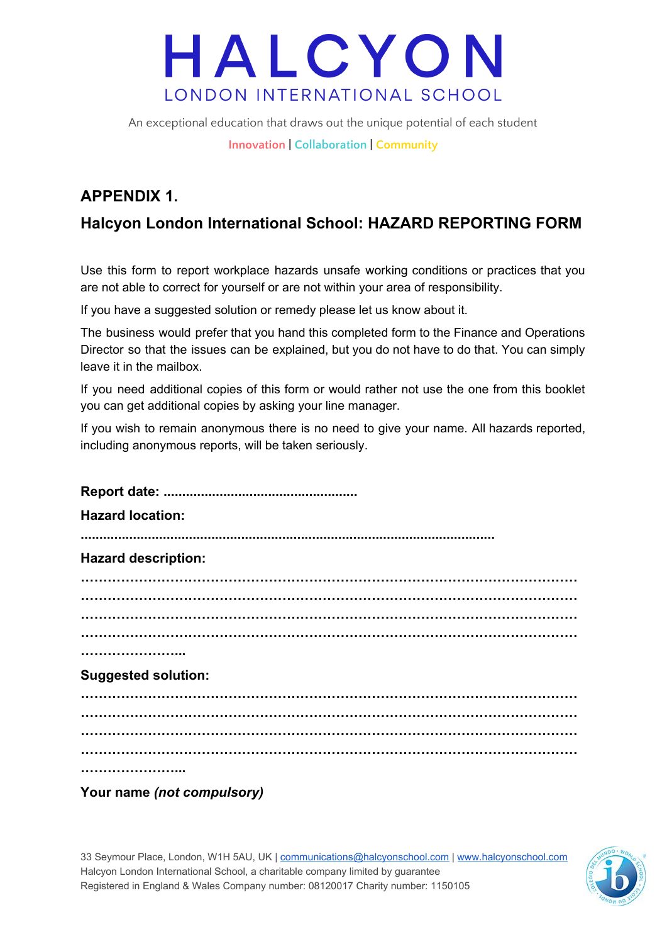An exceptional education that draws out the unique potential of each student

**Innovation | Collaboration | Community**

### **APPENDIX 1.**

### **Halcyon London International School: HAZARD REPORTING FORM**

Use this form to report workplace hazards unsafe working conditions or practices that you are not able to correct for yourself or are not within your area of responsibility.

If you have a suggested solution or remedy please let us know about it.

The business would prefer that you hand this completed form to the Finance and Operations Director so that the issues can be explained, but you do not have to do that. You can simply leave it in the mailbox.

If you need additional copies of this form or would rather not use the one from this booklet you can get additional copies by asking your line manager.

If you wish to remain anonymous there is no need to give your name. All hazards reported, including anonymous reports, will be taken seriously.

| <b>Hazard location:</b>    |
|----------------------------|
| <b>Hazard description:</b> |
|                            |
|                            |
|                            |
|                            |
| <b>Suggested solution:</b> |
|                            |
|                            |
|                            |
|                            |
|                            |
| Your name (not compulsory) |

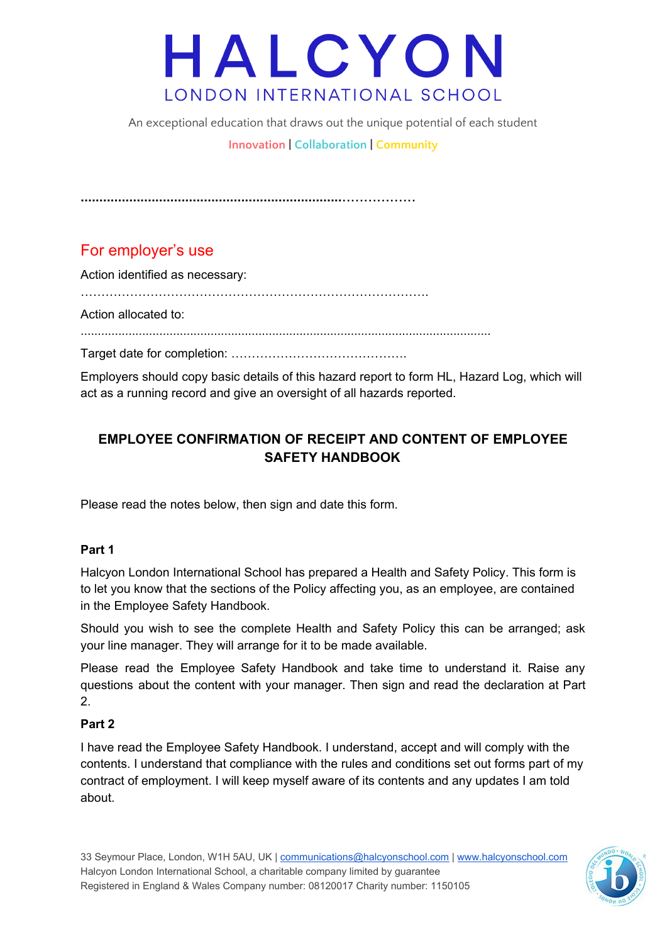An exceptional education that draws out the unique potential of each student

**Innovation | Collaboration | Community**

**......................................................................**.................

### For employer's use

Action identified as necessary:

………………………………………………………………………….

Action allocated to:

........................................................................................................................

Target date for completion: …………………………………….

Employers should copy basic details of this hazard report to form HL, Hazard Log, which will act as a running record and give an oversight of all hazards reported.

### **EMPLOYEE CONFIRMATION OF RECEIPT AND CONTENT OF EMPLOYEE SAFETY HANDBOOK**

Please read the notes below, then sign and date this form.

#### **Part 1**

Halcyon London International School has prepared a Health and Safety Policy. This form is to let you know that the sections of the Policy affecting you, as an employee, are contained in the Employee Safety Handbook.

Should you wish to see the complete Health and Safety Policy this can be arranged; ask your line manager. They will arrange for it to be made available.

Please read the Employee Safety Handbook and take time to understand it. Raise any questions about the content with your manager. Then sign and read the declaration at Part 2.

#### **Part 2**

I have read the Employee Safety Handbook. I understand, accept and will comply with the contents. I understand that compliance with the rules and conditions set out forms part of my contract of employment. I will keep myself aware of its contents and any updates I am told about.